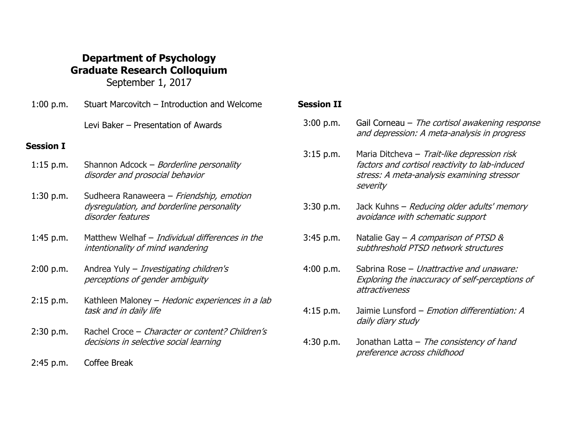## **Department of Psychology Graduate Research Colloquium**

September 1, 2017

| $1:00$ p.m. | Stuart Marcovitch – Introduction and Welcome                                                               |
|-------------|------------------------------------------------------------------------------------------------------------|
|             | Levi Baker - Presentation of Awards                                                                        |
| Session I   |                                                                                                            |
| $1:15$ p.m. | Shannon Adcock – <i>Borderline personality</i><br>disorder and prosocial behavior                          |
| $1:30$ p.m. | Sudheera Ranaweera – Friendship, emotion<br>dysregulation, and borderline personality<br>disorder features |
| 1:45 p.m.   | Matthew Welhaf - Individual differences in the<br>intentionality of mind wandering                         |
| 2:00 p.m.   | Andrea Yuly - <i>Investigating children's</i><br>perceptions of gender ambiguity                           |
| $2:15$ p.m. | Kathleen Maloney – <i>Hedonic experiences in a lab</i><br>task and in daily life                           |
| 2:30 p.m.   | Rachel Croce – Character or content? Children's<br>decisions in selective social learning                  |
| ำ ⊿г        | $\sim$ $\sim$ $\sim$ $\sim$                                                                                |

## 2:45 p.m. Coffee Break

## **Session II**

| 3:00 p.m.   | Gail Corneau – The cortisol awakening response<br>and depression: A meta-analysis in progress                                                           |
|-------------|---------------------------------------------------------------------------------------------------------------------------------------------------------|
| $3:15$ p.m. | Maria Ditcheva - Trait-like depression risk<br>factors and cortisol reactivity to lab-induced<br>stress: A meta-analysis examining stressor<br>severity |
| $3:30$ p.m. | Jack Kuhns – <i>Reducing older adults' memory</i><br>avoidance with schematic support                                                                   |
| $3:45$ p.m. | Natalie Gay – A comparison of PTSD &<br>subthreshold PTSD network structures                                                                            |
| 4:00 p.m.   | Sabrina Rose – Unattractive and unaware:<br>Exploring the inaccuracy of self-perceptions of<br>attractiveness                                           |
| $4:15$ p.m. | Jaimie Lunsford - Emotion differentiation: A<br>daily diary study                                                                                       |

4:30 p.m. Jonathan Latta - The consistency of hand preference across childhood